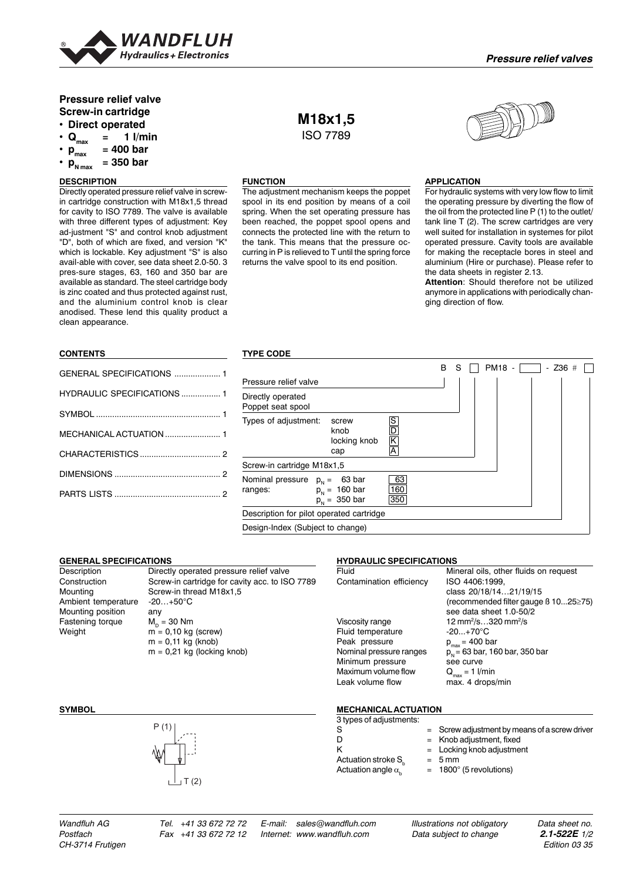

# **Pressure relief valve Screw-in cartridge • Direct operated**

- $Q_{max}$  = 1 l/min<br>•  $p_{max}$  = 400 bar
- 
- $p_{\text{max}}^{\text{max}} = 400 \text{ bar}$ <br>•  $p_{\text{max}} = 350 \text{ bar}$ **• pN max = 350 bar**

# **DESCRIPTION**

Directly operated pressure relief valve in screwin cartridge construction with M18x1,5 thread for cavity to ISO 7789. The valve is available with three different types of adjustment: Key ad-justment "S" and control knob adjustment "D", both of which are fixed, and version "K" which is lockable. Key adjustment "S" is also avail-able with cover, see data sheet 2.0-50. 3 pres-sure stages, 63, 160 and 350 bar are available as standard. The steel cartridge body is zinc coated and thus protected against rust, and the aluminium control knob is clear anodised. These lend this quality product a clean appearance.

### **CONTENTS**

| GENERAL SPECIFICATIONS  1          |  |
|------------------------------------|--|
| <b>HYDRAULIC SPECIFICATIONS  1</b> |  |
|                                    |  |
|                                    |  |
|                                    |  |
|                                    |  |
|                                    |  |
|                                    |  |

# **M18x1,5** ISO 7789

## **FUNCTION**

The adjustment mechanism keeps the poppet spool in its end position by means of a coil spring. When the set operating pressure has been reached, the poppet spool opens and connects the protected line with the return to the tank. This means that the pressure occurring in P is relieved to T until the spring force returns the valve spool to its end position.



## **APPLICATION**

For hydraulic systems with very low flow to limit the operating pressure by diverting the flow of the oil from the protected line P (1) to the outlet/ tank line T (2). The screw cartridges are very well suited for installation in systemes for pilot operated pressure. Cavity tools are available for making the receptacle bores in steel and aluminium (Hire or purchase). Please refer to the data sheets in register 2.13.

**Attention**: Should therefore not be utilized anymore in applications with periodically changing direction of flow.

### **TYPE CODE**

|                                          |                                                                       |                  | B | S | PM18 - | $-$ Z36 # |  |
|------------------------------------------|-----------------------------------------------------------------------|------------------|---|---|--------|-----------|--|
| Pressure relief valve                    |                                                                       |                  |   |   |        |           |  |
| Directly operated<br>Poppet seat spool   |                                                                       |                  |   |   |        |           |  |
| Types of adjustment:                     | screw<br>knob<br>locking knob<br>cap                                  | IS<br> D  K  A   |   |   |        |           |  |
| Screw-in cartridge M18x1,5               |                                                                       |                  |   |   |        |           |  |
| Nominal pressure<br>ranges:              | $p_{N} =$<br>63 bar<br>$p_{N} = 160 \text{ bar}$<br>$p_{N} = 350$ bar | 63<br>160<br>350 |   |   |        |           |  |
| Description for pilot operated cartridge |                                                                       |                  |   |   |        |           |  |
| Design-Index (Subject to change)         |                                                                       |                  |   |   |        |           |  |

### **GENERAL SPECIFICATIONS**

Ambient temperature -20…+50°C Mounting position any Fastening torque  $M_D = 30$  Nm<br>Weight  $m = 0.10$  kg

# Description Directly operated pressure relief valve<br>Construction Screw-in cartridge for cavity acc. to ISC Construction Screw-in cartridge for cavity acc. to ISO 7789 Screw-in thread M18x1.5  $m = 0,10$  kg (screw)  $m = 0,11$  kg (knob)  $m = 0,21$  kg (locking knob)

### **HYDRAULIC SPECIFICATIONS**

| Fluid                    | Mineral oils, other fluids on request            |
|--------------------------|--------------------------------------------------|
| Contamination efficiency | ISO 4406:1999,                                   |
|                          | class 20/18/1421/19/15                           |
|                          | (recommended filter gauge $\beta$ 1025 $\ge$ 75) |
|                          | see data sheet 1.0-50/2                          |
| Viscosity range          | 12 mm <sup>2</sup> /s320 mm <sup>2</sup> /s      |
| Fluid temperature        | $-20.170^{\circ}$ C                              |
| Peak pressure            | $p_{max}$ = 400 bar                              |
| Nominal pressure ranges  | $p_{N}$ = 63 bar, 160 bar, 350 bar               |
| Minimum pressure         | see curve                                        |
| Maximum volume flow      | $Q_{max} = 1$ l/min                              |
| Leak volume flow         | max. 4 drops/min                                 |
|                          |                                                  |
|                          |                                                  |



### **SYMBOL MECHANICAL ACTUATION**

| 3 types of adjustments:        |                                                 |
|--------------------------------|-------------------------------------------------|
| -S                             | $=$ Screw adjustment by means of a screw driver |
|                                | $=$ Knob adjustment, fixed                      |
|                                | $=$ Locking knob adjustment                     |
| Actuation stroke S.            | $= 5$ mm                                        |
| Actuation angle $\alpha_{\mu}$ | $= 1800^{\circ}$ (5 revolutions)                |

*Wandfluh AG Tel. +41 33 672 72 72 E-mail: sales@wandfluh.com Illustrations not obligatory Data sheet no. Postfach Fax +41 33 672 72 12 Internet: www.wandfluh.com Data subject to change 2.1-522E 1/2*